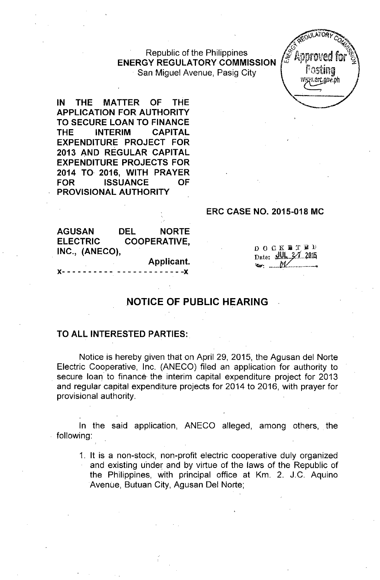Republic of the Philippines ENERGY REGULATORY COMMISSION San Miguel Avenue, Pasig City



IN THE MATTER OF THE APPLICATION FOR AUTHORITY TO SECURE LOAN TO FINANCE THE INTERIM CAPITAL EXPENDITURE PROJECT FOR 2013 AND REGULAR CAPITAL EXPENDITURE PROJECTS FOR 2014 TO 2016, WITH PRAYER FOR ISSUANCE OF PROVISIONAL AUTHORITY

#### ERC CASE NO. 2015-018 MC

AGUSAN DEL NORTE ELECTRIC COOPERATIVE, INC., (ANECO),

> Applicant. J(- - - - - - - - - - - - - - - - - - - - - - -J(

DOCK BTED Date: UL 3/1 2015

# NOTICE OF PUBLIC HEARING

#### TO ALL INTERESTED PARTIES:

Notice is hereby given that on April 29, 2015, the Agusan del Norte Electric Cooperative, Inc. (ANECO) filed an application for authority to secure loan to finance the interim capital expenditure project for 2013 and regular capital expenditure projects for 2014 to 2016, with prayer for provisional authority.

In the said application, ANECO alleged, among others, the following:

1. It is a non-stock, non-profit electric cooperative duly organized and existing under and by virtue of the laws of the Republic of the Philippines, with principal office at Km. 2. J.C. Aquino Avenue, Butuan City, Agusan Del Norte;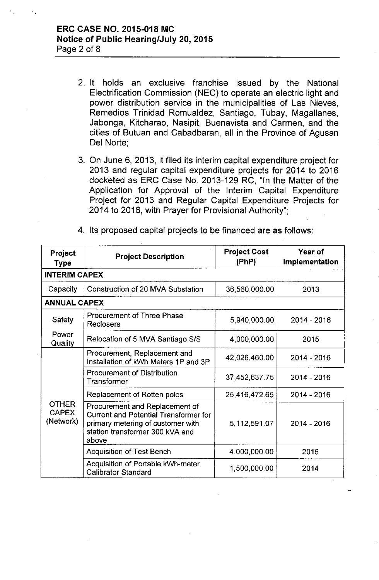- 2. It holds an exclusive franchise issued by the National Electrification Commission (NEC) to operate an electric light and power distribution service in the municipalities of Las Nieves, Remedios Trinidad Romualdez, Santiago, Tubay, Magallanes, Jabonga, Kitcharao, Nasipit, Buenavista and Carmen, and the cities of Butuan and Cabadbaran, all in the Province of Agusan Del Norte;
- 3. On June 6, 2013, it filed its interim capital expenditure project for 2013 and regular capital expenditure projects for 2014 to 2016 docketed as ERC Case No. 2013-129 RC, "In the Matter of the Application for Approval of the Interim Capital Expenditure Project for 2013 and Regular Capital Expenditure Projects for 2014 to 2016, with Prayer for Provisional Authority";

| Project<br>Type                           | <b>Project Description</b>                                                                                                                                      | <b>Project Cost</b><br>(PhP) | Year of<br>Implementation |  |  |  |
|-------------------------------------------|-----------------------------------------------------------------------------------------------------------------------------------------------------------------|------------------------------|---------------------------|--|--|--|
|                                           | <b>INTERIM CAPEX</b>                                                                                                                                            |                              |                           |  |  |  |
| Capacity                                  | Construction of 20 MVA Substation                                                                                                                               | 36,560,000.00                | 2013                      |  |  |  |
| <b>ANNUAL CAPEX</b>                       |                                                                                                                                                                 |                              |                           |  |  |  |
| Safety                                    | <b>Procurement of Three Phase</b><br>Reclosers                                                                                                                  | 5,940,000.00                 | $2014 - 2016$             |  |  |  |
| Power<br>Quality                          | Relocation of 5 MVA Santiago S/S                                                                                                                                | 4,000,000.00                 | 2015                      |  |  |  |
| <b>OTHER</b><br><b>CAPEX</b><br>(Network) | Procurement, Replacement and<br>Installation of kWh Meters 1P and 3P                                                                                            | 42,026,460.00                | 2014 - 2016               |  |  |  |
|                                           | <b>Procurement of Distribution</b><br>Transformer                                                                                                               | 37,452,637.75                | 2014 - 2016               |  |  |  |
|                                           | Replacement of Rotten poles                                                                                                                                     | 25,416,472.65                | 2014 - 2016               |  |  |  |
|                                           | Procurement and Replacement of<br><b>Current and Potential Transformer for</b><br>primary metering of customer with<br>station transformer 300 kVA and<br>above | 5,112,591.07                 | 2014 - 2016               |  |  |  |
|                                           | <b>Acquisition of Test Bench</b>                                                                                                                                | 4,000,000.00                 | 2016                      |  |  |  |
|                                           | Acquisition of Portable kWh-meter<br><b>Calibrator Standard</b>                                                                                                 | 1,500,000.00                 | 2014                      |  |  |  |

4. Its proposed capital projects to be financed are as follows: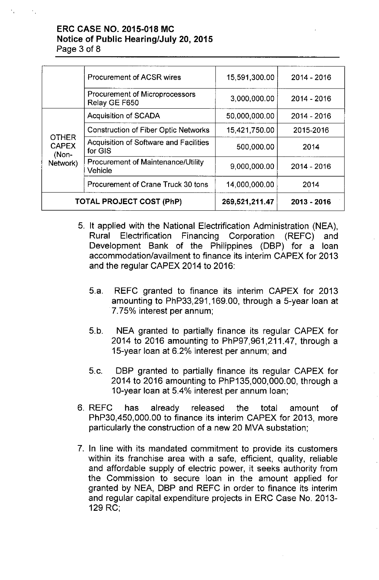### ERC CASE NO. 2015-018 MC Notice of Public Hearing/July 20,2015 Page 3 of 8

|                                                   | <b>Procurement of ACSR wires</b>                     | 15,591,300.00  | $2014 - 2016$ |
|---------------------------------------------------|------------------------------------------------------|----------------|---------------|
|                                                   | Procurement of Microprocessors<br>Relay GE F650      | 3,000,000.00   | 2014 - 2016   |
|                                                   | <b>Acquisition of SCADA</b>                          | 50,000,000.00  | 2014 - 2016   |
| <b>OTHER</b><br><b>CAPEX</b><br>(Non-<br>Network) | <b>Construction of Fiber Optic Networks</b>          | 15,421,750.00  | 2015-2016     |
|                                                   | Acquisition of Software and Facilities<br>for GIS    | 500,000.00     | 2014          |
|                                                   | <b>Procurement of Maintenance/Utility</b><br>Vehicle | 9,000,000.00   | $2014 - 2016$ |
|                                                   | Procurement of Crane Truck 30 tons                   | 14,000,000.00  | 2014          |
|                                                   | <b>TOTAL PROJECT COST (PhP)</b>                      | 269,521,211.47 | 2013 - 2016   |

- 5. It applied with the National Electrification Administration (NEA), Rural Electrification Financing Corporation (REFC) and Development Bank of the Philippines (DBP) for a loan accommodation/availment to finance its interim CAPEX for 2013 and the regular CAPEX 2014 to 2016:
	- 5.a. REFC granted to finance its interim CAPEX for 2013 amounting to PhP33,291, 169.00, through a 5-year loan at 7.75% interest per annum;
	- 5.b. NEA granted to partially finance its regular CAPEX for 2014 to 2016 amounting to PhP97,961,211.47, through a 15-year loan at 6.2% interest per annum; and
	- 5.c. DBP granted to partially finance its regular CAPEX for 2014 to 2016 amounting to PhP135,000,000.00, through a 1O-year loan at 5.4% interest per annum loan;
- 6. REFC has already released the total amount of PhP30,450,000.00 to finance its interim CAPEX for 2013, more particularly the construction of a new 20 MVA substation;
- 7. In line with its mandated commitment to provide its customers within its franchise area with a safe, efficient, quality, reliable and affordable supply of electric power, it seeks authority from the Commission to secure loan in the amount applied for granted by NEA, DBP and REFC in order to finance its interim and regular capital expenditure projects in ERC Case No. 2013- 129 RC;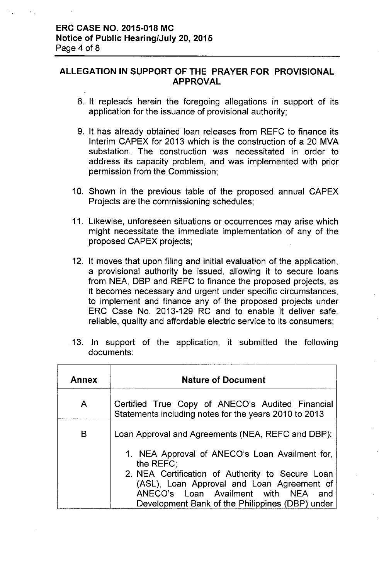## ALLEGATION **IN** SUPPORT OF **THE** PRAYER FOR PROVISIONAL APPROVAL

- 8. It repleads herein the foregoing allegations in support of its application for the issuance of provisional authority;
- 9. It has already obtained loan releases from REFC to finance its Interim CAPEX for 2013 which is the construction of a 20 MVA substation. The construction was necessitated in order to address its capacity problem, and was implemented with prior permission from the Commission;
- 10. Shown in the previous table of the proposed annual CAPEX Projects are the commissioning schedules;
- 11. Likewise, unforeseen situations or occurrences may arise which might necessitate the immediate implementation of any of the proposed CAPEX projects;
- 12. It moves that upon filing and initial evaluation of the application, a provisional authority be issued, allowing it to secure loans from NEA, DBP and REFC to finance the proposed projects, as it becomes necessary and urgent under specific circumstances, to implement and finance any of the proposed projects under ERC Case No. 2013-129 RC and to enable it deliver safe, reliable, quality and affordable electric service to its consumers;

| <b>Annex</b> | <b>Nature of Document</b>                                                                                                                |  |
|--------------|------------------------------------------------------------------------------------------------------------------------------------------|--|
| A            | Certified True Copy of ANECO's Audited Financial<br>Statements including notes for the years 2010 to 2013                                |  |
| B            | Loan Approval and Agreements (NEA, REFC and DBP):                                                                                        |  |
|              | 1. NEA Approval of ANECO's Loan Availment for,<br>the REFC:                                                                              |  |
|              | 2. NEA Certification of Authority to Secure Loan<br>(ASL), Loan Approval and Loan Agreement of<br>ANECO's Loan Availment with NEA<br>and |  |
|              | Development Bank of the Philippines (DBP) under                                                                                          |  |

13. In support of the application, it submitted the following documents: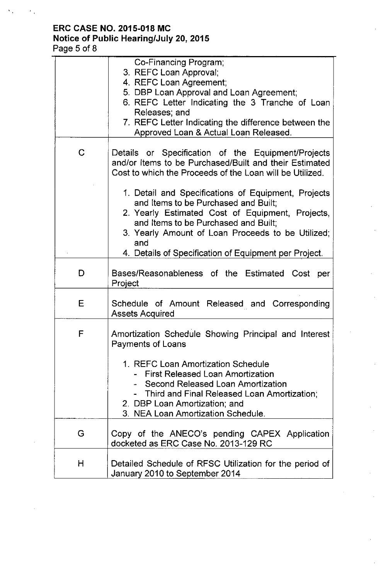# **ERC CASE NO. 2015-018 MC Notice of Public Hearing/July 20,2015** Page 5 of 8

|   | Co-Financing Program;<br>3. REFC Loan Approval;<br>4. REFC Loan Agreement;<br>5. DBP Loan Approval and Loan Agreement;<br>6. REFC Letter Indicating the 3 Tranche of Loan<br>Releases; and<br>7. REFC Letter Indicating the difference between the<br>Approved Loan & Actual Loan Released.                                                                                                                                                                                              |
|---|------------------------------------------------------------------------------------------------------------------------------------------------------------------------------------------------------------------------------------------------------------------------------------------------------------------------------------------------------------------------------------------------------------------------------------------------------------------------------------------|
| C | Details or Specification of the Equipment/Projects<br>and/or Items to be Purchased/Built and their Estimated<br>Cost to which the Proceeds of the Loan will be Utilized.<br>1. Detail and Specifications of Equipment, Projects<br>and Items to be Purchased and Built;<br>2. Yearly Estimated Cost of Equipment, Projects,<br>and Items to be Purchased and Built;<br>3. Yearly Amount of Loan Proceeds to be Utilized;<br>and<br>4. Details of Specification of Equipment per Project. |
| D | Bases/Reasonableness of the Estimated Cost per<br>Project                                                                                                                                                                                                                                                                                                                                                                                                                                |
| Ε | Schedule of Amount Released and Corresponding<br><b>Assets Acquired</b>                                                                                                                                                                                                                                                                                                                                                                                                                  |
| F | Amortization Schedule Showing Principal and Interest<br>Payments of Loans<br>1. REFC Loan Amortization Schedule<br>- First Released Loan Amortization<br>- Second Released Loan Amortization<br>- Third and Final Released Loan Amortization;<br>2. DBP Loan Amortization; and<br>3. NEA Loan Amortization Schedule.                                                                                                                                                                     |
| G | Copy of the ANECO's pending CAPEX Application<br>docketed as ERC Case No. 2013-129 RC                                                                                                                                                                                                                                                                                                                                                                                                    |
| Н | Detailed Schedule of RFSC Utilization for the period of<br>January 2010 to September 2014                                                                                                                                                                                                                                                                                                                                                                                                |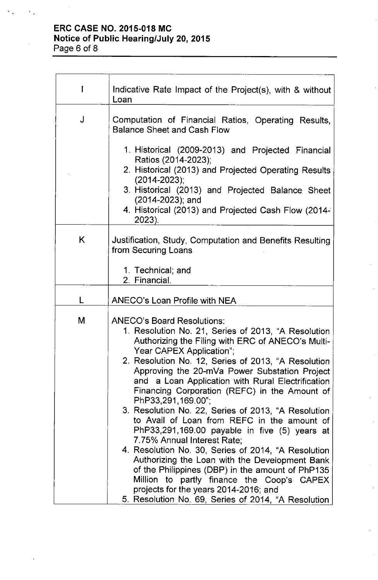# **ERC CASE NO. 2015-018 MC Notice of Public Hearing/July 20,2015**

| I | Indicative Rate Impact of the Project(s), with & without<br>Loan                                                                                                                                                                                                                                                                                                                                                                                                                                                                                                                                                                                                                                                                                                                                                                                                                                               |
|---|----------------------------------------------------------------------------------------------------------------------------------------------------------------------------------------------------------------------------------------------------------------------------------------------------------------------------------------------------------------------------------------------------------------------------------------------------------------------------------------------------------------------------------------------------------------------------------------------------------------------------------------------------------------------------------------------------------------------------------------------------------------------------------------------------------------------------------------------------------------------------------------------------------------|
| J | Computation of Financial Ratios, Operating Results,<br><b>Balance Sheet and Cash Flow</b>                                                                                                                                                                                                                                                                                                                                                                                                                                                                                                                                                                                                                                                                                                                                                                                                                      |
|   | 1. Historical (2009-2013) and Projected Financial<br>Ratios (2014-2023);<br>2. Historical (2013) and Projected Operating Results<br>$(2014 - 2023)$ ;<br>3. Historical (2013) and Projected Balance Sheet<br>$(2014 - 2023)$ ; and<br>4. Historical (2013) and Projected Cash Flow (2014-<br>2023).                                                                                                                                                                                                                                                                                                                                                                                                                                                                                                                                                                                                            |
| K | Justification, Study, Computation and Benefits Resulting<br>from Securing Loans                                                                                                                                                                                                                                                                                                                                                                                                                                                                                                                                                                                                                                                                                                                                                                                                                                |
|   | 1. Technical; and<br>2. Financial.                                                                                                                                                                                                                                                                                                                                                                                                                                                                                                                                                                                                                                                                                                                                                                                                                                                                             |
|   | <b>ANECO's Loan Profile with NEA</b>                                                                                                                                                                                                                                                                                                                                                                                                                                                                                                                                                                                                                                                                                                                                                                                                                                                                           |
| M | <b>ANECO's Board Resolutions:</b><br>1. Resolution No. 21, Series of 2013, "A Resolution<br>Authorizing the Filing with ERC of ANECO's Multi-<br>Year CAPEX Application";<br>2. Resolution No. 12, Series of 2013, "A Resolution<br>Approving the 20-mVa Power Substation Project<br>and a Loan Application with Rural Electrification<br>Financing Corporation (REFC) in the Amount of<br>PhP33,291,169.00";<br>3. Resolution No. 22, Series of 2013, "A Resolution<br>to Avail of Loan from REFC in the amount of<br>PhP33,291,169.00 payable in five (5) years at<br>7.75% Annual Interest Rate;<br>4. Resolution No. 30, Series of 2014, "A Resolution<br>Authorizing the Loan with the Development Bank<br>of the Philippines (DBP) in the amount of PhP135<br>Million to partly finance the Coop's CAPEX<br>projects for the years 2014-2016; and<br>5. Resolution No. 69, Series of 2014, "A Resolution |

Page 6 of 8

 $\mathcal{L}_{\mathcal{A}}$ 

 $\epsilon_{\rm in}$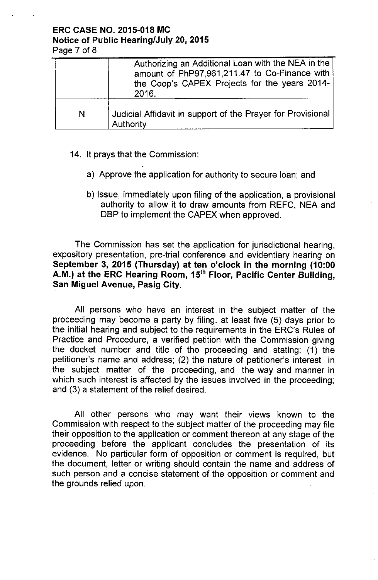### ERC CASE NO. 2015-018 MC Notice of Public Hearing/July 20,2015 Page 7 of 8

|   | Authorizing an Additional Loan with the NEA in the<br>amount of PhP97,961,211.47 to Co-Finance with<br>the Coop's CAPEX Projects for the years 2014-<br>2016. |
|---|---------------------------------------------------------------------------------------------------------------------------------------------------------------|
| N | Judicial Affidavit in support of the Prayer for Provisional<br><b>Authority</b>                                                                               |

- 14. It prays that the Commission:
	- a) Approve the application for authority to secure loan; and
	- b) Issue, immediately upon filing of the application, a provisional authority to allow it to draw amounts from REFC, NEA and DBP to implement the CAPEX when approved.

The Commission has set the application for jurisdictional hearing, expository presentation, pre-trial conference and evidentiary hearing on September 3, 2015 (Thursday) at ten o'clock in the morning (10:00 A.M.) at the ERC Hearing Room, 15<sup>th</sup> Floor, Pacific Center Building, San Miguel Avenue, Pasig City.

All persons who have an interest in the subject matter of the proceeding may become a party by filing, at least five (5) days prior to the initial hearing and subject to the requirements in the ERC's Rules of Practice and Procedure, a verified petition with the Commission giving the docket number and title of the proceeding and stating: (1) the petitioner's name and address; (2) the nature of petitioner's interest in the subject matter of the proceeding, and the way and manner in which such interest is affected by the issues involved in the proceeding; and (3) a statement of the relief desired.

All other persons who may want their views known to the Commission with respect to the subject matter of the proceeding may file their opposition to the application or comment thereon at any stage of the proceeding before the applicant concludes the presentation of its evidence. No particular form of opposition or comment is required, but the document, letter or writing should contain the name and address of such person and a concise statement of the opposition or comment and the grounds relied upon.